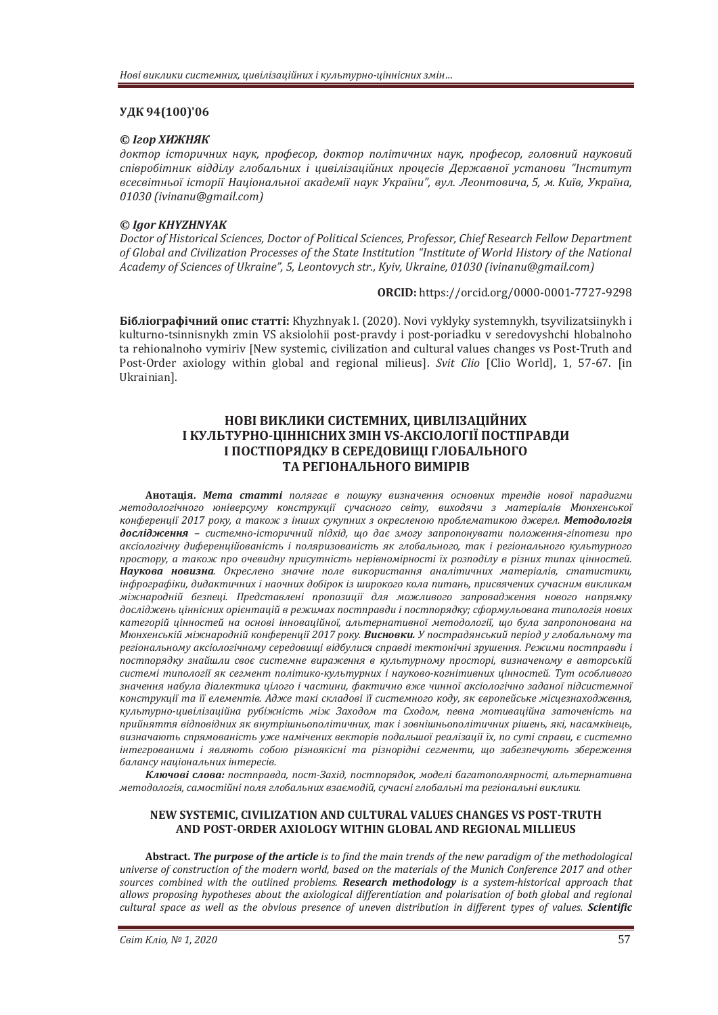## **VIK 94(100)'06**

### **©** *Izon XИЖНЯК*

доктор *історичних наук, професор, доктор політичних наук, професор, головний науковий* співробітник відділу глобальних і цивілізаційних процесів Державної установи "Інститут всесвітньої історії Національної академії наук України", вул. Леонтовича, 5, м. Київ, Україна, *01030 (ivinanu@gmail.com)* 

### *© Igor KHYZHNYAK*

Doctor of Historical Sciences, Doctor of Political Sciences, Professor, Chief Research Fellow Department of Global and Civilization Processes of the State Institution "Institute of World History of the National *d*cademy of Sciences of Ukraine", 5, Leontovych str., Kyiv, Ukraine, 01030 (ivinanu@gmail.com)

#### **ORCID:** https://orcid.org/0000-0001-7727-9298

**Бібліографічний опис статті:** Khyzhnyak I. (2020). Novi vyklyky systemnykh, tsyvilizatsiinykh i kulturno-tsinnisnykh zmin VS aksiolohii post-pravdy i post-poriadku v seredovyshchi hlobalnoho ta rehionalnoho vymiriv [New systemic, civilization and cultural values changes vs Post-Truth and Post-Order axiology within global and regional milieus]. *Svit Clio* [Clio World], 1, 57-67. [in Ukrainian].

# НОВІ ВИКЛИКИ СИСТЕМНИХ, ЦИВІЛІЗАЦІЙНИХ I КУЛЬТУРНО-ЦІННІСНИХ ЗМІН VS-АКСІОЛОГІЇ ПОСТПРАВДИ **І ПОСТПОРЯДКУ В СЕРЕДОВИЩІ ГЛОБАЛЬНОГО** ТА РЕГІОНАЛЬНОГО ВИМІРІВ

Анотація. Мета статті полягає в пошуку визначення основних трендів нової парадигми методологічного юніверсуму конструкції сучасного світу, виходячи з матеріалів Мюнхенської конференції 2017 року, а також з інших сукупних з окресленою проблематикою джерел. Методологія дослідження - системно-історичний підхід, що дає змогу запропонувати положення-гіпотези про аксіологічну диференційованість і поляризованість як глобального, так і регіонального культурного npocmopy, а також про очевидну присутність нерівномірності їх розподілу в різних типах цінностей. Наукова новизна. Окреслено значне поле використання аналітичних матеріалів, статистики,  $i$ нфрографіки, дидактичних і наочних добірок із широкого кола питань, присвячених сучасним викликам міжнародній безпеці. Представлені пропозиції для можливого запровадження нового напрямку досліджень иіннісних орієнтацій в режимах постправди і постпорядку: сформульована типологія нових категорій цінностей на основі інноваційної, альтернативної методології, що була запропонована на Мюнхенській міжнародній конференції 2017 року. Висновки. У пострадянський період у глобальному та регіональному аксіологічному середовищі відбулися справді тектонічні зрушення. Режими постправди і постпорядку знайшли своє системне вираження в культурному просторі, визначеному в авторській *˔ˋ˔˕ˈˏ˪˕ˋ˒ˑˎˑˆ˪˫ ˢˍ ˔ˈˆˏˈː˕ ˒ˑˎ˪˕ˋˍˑ-ˍ˖ˎ˟˕˖˓ːˋ˘˪ ː˃˖ˍˑ˅ˑ-ˍˑˆː˪˕ˋ˅ːˋ˘ ˙˪ːːˑ˔˕ˈˌǤ ʡ˖˕ ˑ˔ˑ˄ˎˋ˅ˑˆˑ* значення набула діалектика цілого і частини, фактично вже чинної аксіологічно заданої підсистемної конструкції та її елементів. Адже такі складові її системного коду, як європейське місцезнаходження, культурно-цивілізаційна рубіжність між Заходом та Сходом, певна мотиваційна заточеність на прийняття відповідних як внутрішньополітичних, так і зовнішньополітичних рішень, які, насамкінець, визначають спрямованість уже намічених векторів подальшої реалізації їх, по суті справи, є системно інтегрованими і являють собою різноякісні та різнорідні сегменти, що забезпечують збереження  $6a$ лансу національних інтересів.

Ключові слова: постправда, пост-Захід, постпорядок, моделі багатополярності, альтернативна методологія, самостійні поля глобальних взаємодій, сучасні глобальні та регіональні виклики.

### NEW SYSTEMIC, CIVILIZATION AND CULTURAL VALUES CHANGES VS POST-TRUTH AND POST-ORDER AXIOLOGY WITHIN GLOBAL AND REGIONAL MILLIEUS

**Abstract. The purpose of the article** is to find the main trends of the new paradiam of the methodological universe of construction of the modern world, based on the materials of the Munich Conference 2017 and other *sources combined with the outlined problems. Research methodology is a system-historical approach that* allows proposing hypotheses about the axiological differentiation and polarisation of both global and regional *cultural space as well as the obvious presence of uneven distribution in different types of values. Scientific*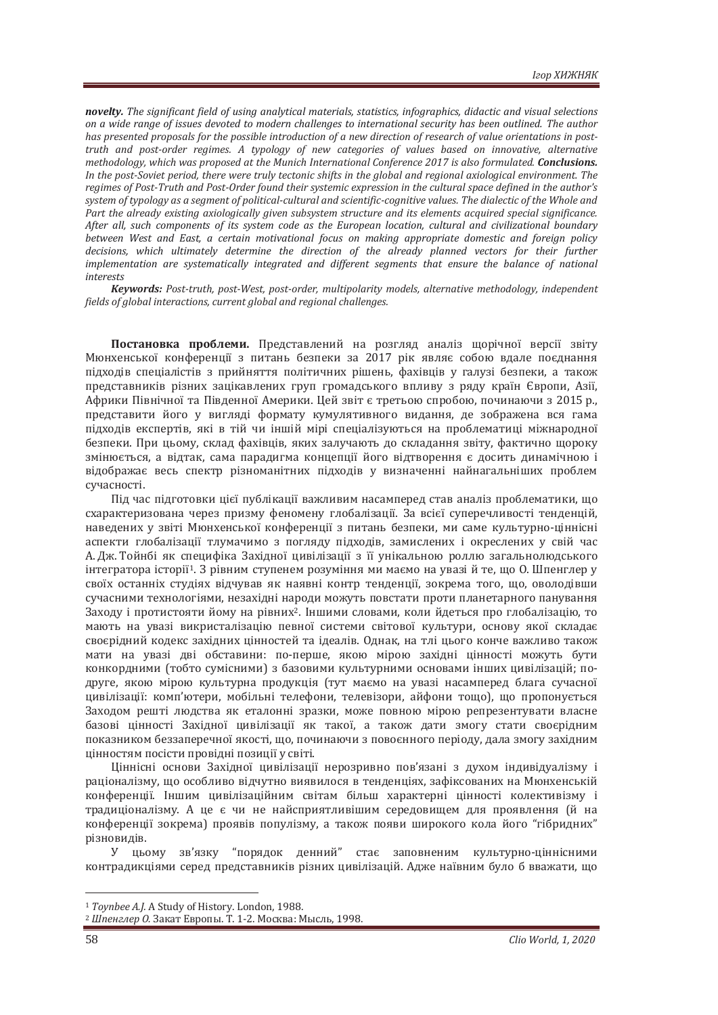*novelty.* The significant field of using analytical materials, statistics, infographics, didactic and visual selections on a wide range of issues devoted to modern challenges to international security has been outlined. The author has presented proposals for the possible introduction of a new direction of research of value orientations in post*truth and post-order regimes. A typology of new categories of values based on innovative, alternative methodology, which was proposed at the Munich International Conference 2017 is also formulated. Conclusions. In the post-Soviet period, there were truly tectonic shifts in the global and regional axiological environment. The* regimes of Post-Truth and Post-Order found their systemic expression in the cultural space defined in the author's system of typology as a segment of political-cultural and scientific-cognitive values. The dialectic of the Whole and Part the already existing axiologically given subsystem structure and its elements acquired special significance. After all, such components of its system code as the European location, cultural and civilizational boundary between West and East, a certain motivational focus on making appropriate domestic and foreign policy decisions, which ultimately determine the direction of the already planned vectors for their further *implementation are systematically integrated and different segments that ensure the balance of national* interests

*Keywords: Post-truth, post-West, post-order, multipolarity models, alternative methodology, independent fields of global interactions, current global and regional challenges.* 

Постановка проблеми. Представлений на розгляд аналіз щорічної версії звіту Мюнхенської конференції з питань безпеки за 2017 рік являє собою вдале поєднання підходів спеціалістів з прийняття політичних рішень, фахівців у галузі безпеки, а також представників різних зацікавлених груп громадського впливу з ряду країн Європи, Азії, Африки Північної та Південної Америки. Цей звіт є третьою спробою, починаючи з 2015 р., представити його у вигляді формату кумулятивного видання, де зображена вся гама підходів експертів, які в тій чи іншій мірі спеціалізуються на проблематиці міжнародної безпеки. При цьому, склад фахівців, яких залучають до складання звіту, фактично щороку змінюється, а вілтак, сама паралигма концепції його вілтворення є лосить линамічною і відображає весь спектр різноманітних підходів у визначенні найнагальніших проблем сучасності.

Під час підготовки цієї публікації важливим насамперед став аналіз проблематики, що схарактеризована через призму феномену глобалізації. За всієї суперечливості тенденцій, наведених у звіті Мюнхенської конференції з питань безпеки, ми саме культурно-ціннісні аспекти глобалізації тлумачимо з погляду підходів, замислених і окреслених у свій час А. Дж. Тойнбі як специфіка Західної цивілізації з її унікальною роллю загальнолюдського інтегратора історії<sup>1</sup>. З рівним ступенем розуміння ми маємо на увазі й те, що О. Шпенглер у своїх останніх студіях відчував як наявні контр тенденції, зокрема того, що, оволодівши сучасними технологіями, незахідні народи можуть повстати проти планетарного панування Заходу і протистояти йому на рівних<sup>2</sup>. Іншими словами, коли йдеться про глобалізацію, то мають на увазі викристалізацію певної системи світової культури, основу якої складає своєрідний кодекс західних цінностей та ідеалів. Однак, на тлі цього конче важливо також мати на увазі дві обставини: по-перше, якою мірою західні цінності можуть бути конкордними (тобто сумісними) з базовими культурними основами інших цивілізацій; подруге, якою мірою культурна продукція (тут маємо на увазі насамперед блага сучасної цивілізації: комп'ютери, мобільні телефони, телевізори, айфони тощо), що пропонується Заходом решті людства як еталонні зразки, може повною мірою репрезентувати власне базові цінності Західної цивілізації як такої, а також дати змогу стати своєрідним показником беззаперечної якості, що, починаючи з повоєнного періоду, дала змогу західним цінностям посісти провідні позиції у світі.

Ціннісні основи Західної цивілізації нерозривно пов'язані з духом індивідуалізму і раціоналізму, що особливо відчутно виявилося в тенденціях, зафіксованих на Мюнхенській конференції. Іншим цивілізаційним світам більш характерні цінності колективізму і традиціоналізму. А це є чи не найсприятливішим середовищем для проявлення (й на конференції зокрема) проявів популізму, а також появи широкого кола його "гібридних" різновидів.

У цьому зв'язку "порядок денний" стає заповненим культурно-ціннісними контрадикціями серед представників різних цивілізацій. Адже наївним було б вважати, що

<sup>&</sup>lt;sup>1</sup> Toynbee A.J. A Study of History. London, 1988.<br><sup>2</sup> Шпенглер О. Закат Европы. Т. 1-2. Москва: Мысль, 1998.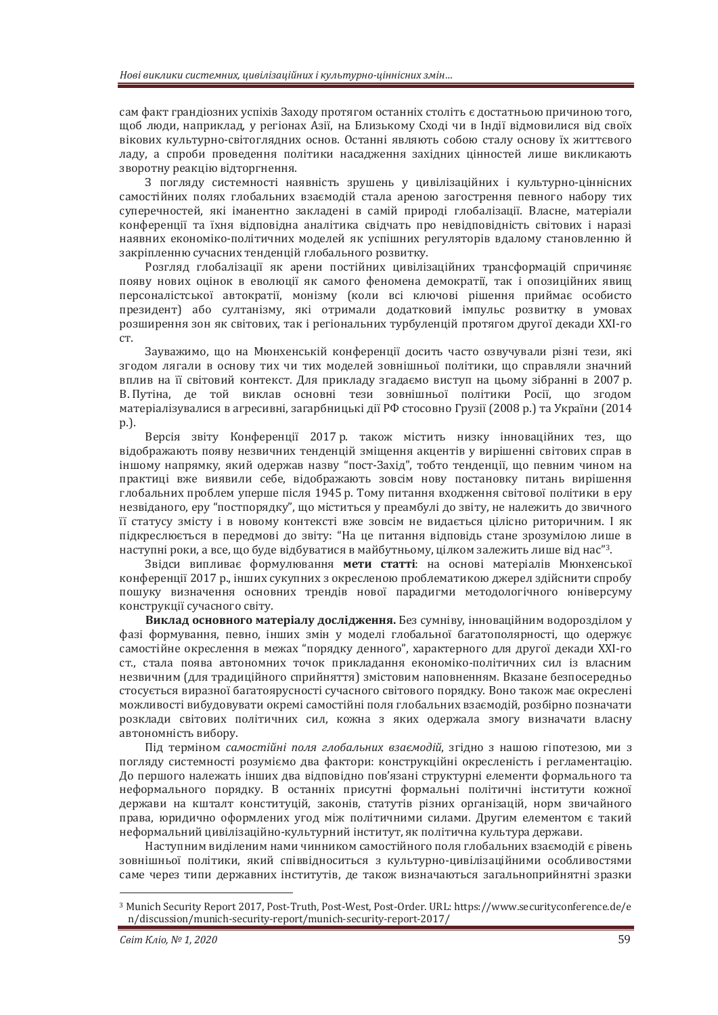сам факт грандіозних успіхів Заходу протягом останніх століть є достатньою причиною того. щоб люди, наприклад, у регіонах Азії, на Близькому Сході чи в Індії відмовилися від своїх вікових культурно-світоглядних основ. Останні являють собою сталу основу їх життєвого ладу, а спроби проведення політики насадження західних цінностей лише викликають зворотну реакцію відторгнення.

З погляду системності наявність зрушень у цивілізаційних і культурно-ціннісних самостійних полях глобальних взаємолій стала ареною загострення певного набору тих суперечностей, які іманентно закладені в самій природі глобалізації. Власне, матеріали конференції та їхня відповідна аналітика свідчать про невідповідність світових і наразі наявних економіко-політичних моделей як успішних регуляторів вдалому становленню й закріпленню сучасних тенденцій глобального розвитку.

Розгляд глобалізації як арени постійних цивілізаційних трансформацій спричиняє появу нових оцінок в еволюції як самого феномена демократії, так і опозиційних явищ персоналістської автократії, монізму (коли всі ключові рішення приймає особисто президент) або султанізму, які отримали додатковий імпульс розвитку в умовах розширення зон як світових, так і регіональних турбуленцій протягом другої декади XXI-го  $CT$ 

Зауважимо, що на Мюнхенській конференції досить часто озвучували різні тези, які зголом лягали в основу тих чи тих молелей зовнішньої політики, що справляли значний вплив на її світовий контекст. Для прикладу згадаємо виступ на цьому зібранні в 2007 р. В. Путіна, де той виклав основні тези зовнішньої політики Росії, що згодом матеріалізувалися в агресивні, загарбницькі дії РФ стосовно Грузії (2008 р.) та України (2014  $p.$ 

Версія звіту Конференції 2017 р. також містить низку інноваційних тез, що відображають появу незвичних тенденцій зміщення акцентів у вирішенні світових справ в іншому напрямку, який одержав назву "пост-Захід", тобто тенденції, що певним чином на практиці вже виявили себе, відображають зовсім нову постановку питань вирішення глобальних проблем уперше після 1945 р. Тому питання входження світової політики в еру незвіданого, еру "постпорядку", що міститься у преамбулі до звіту, не належить до звичного її статусу змісту і в новому контексті вже зовсім не видається цілісно риторичним. І як підкреслюється в передмові до звіту: "На це питання відповідь стане зрозумілою лише в наступні роки, а все, що буде відбуватися в майбутньому, цілком залежить лише від нас"<sup>3</sup>.

Звілси випливає формулювання мети статті: на основі матеріалів Мюнхенської конференції 2017 р., інших сукупних з окресленою проблематикою джерел здійснити спробу пошуку визначення основних трендів нової парадигми методологічного юніверсуму конструкції сучасного світу.

Виклад основного матеріалу дослідження. Без сумніву, інноваційним водорозділом у фазі формування, певно, інших змін у моделі глобальної багатополярності, що одержує самостійне окреслення в межах "порядку денного", характерного для другої декади XXI-го ст., стала поява автономних точок прикладання економіко-політичних сил із власним незвичним (для традиційного сприйняття) змістовим наповненням. Вказане безпосередньо стосується виразної багатоярусності сучасного світового порядку. Воно також має окреслені можливості вибудовувати окремі самостійні поля глобальних взаємодій, розбірно позначати розклади світових політичних сил, кожна з яких одержала змогу визначати власну автономність вибору.

Під терміном *самостійні поля глобальних взаємодій*, згідно з нашою гіпотезою, ми з погляду системності розуміємо два фактори: конструкційні окресленість і регламентацію. До першого належать інших два відповідно пов'язані структурні елементи формального та неформального порядку. В останніх присутні формальні політичні інститути кожної держави на кшталт конституцій, законів, статутів різних організацій, норм звичайного права, юридично оформлених угод між політичними силами. Другим елементом є такий неформальний цивілізаційно-культурний інститут, як політична культура держави.

Наступним виділеним нами чинником самостійного поля глобальних взаємодій є рівень зовнішньої політики, який співвідноситься з культурно-цивілізаційними особливостями саме через типи державних інститутів, де також визначаються загальноприйнятні зразки

<sup>3</sup> Munich Security Report 2017, Post-Truth, Post-West, Post-Order. URL: https://www.securityconference.de/e n/discussion/munich-security-report/munich-security-report-2017/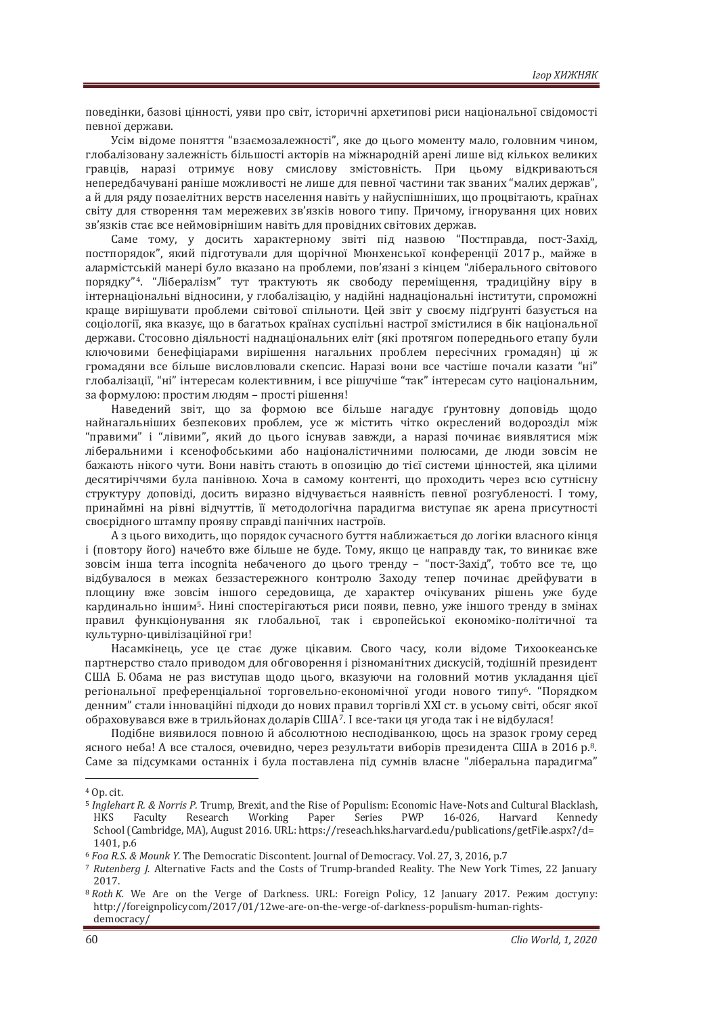поведінки, базові цінності, уяви про світ, історичні архетипові риси національної свідомості певної держави.

Усім відоме поняття "взаємозалежності", яке до цього моменту мало, головним чином, глобалізовану залежність більшості акторів на міжнародній арені лише від кількох великих гравців, наразі отримує нову смислову змістовність. При цьому відкриваються непередбачувані раніше можливості не лише для певної частини так званих "малих держав". а й для ряду позаелітних верств населення навіть у найуспішніших, що процвітають, країнах світу для створення там мережевих зв'язків нового типу. Причому, ігнорування цих нових зв'язків стає все неймовірнішим навіть для провідних світових держав.

Саме тому, у досить характерному звіті під назвою "Постправда, пост-Захід, постпорядок", який підготували для щорічної Мюнхенської конференції 2017 р., майже в алармістській манері було вказано на проблеми, пов'язані з кінцем "ліберального світового порядку"<sup>4</sup>. "Лібералізм" тут трактують як свободу переміщення, традиційну віру в інтернаціональні відносини, у глобалізацію, у надійні наднаціональні інститути, спроможні краще вирішувати проблеми світової спільноти. Цей звіт у своєму підґрунті базується на соціології, яка вказує, що в багатьох країнах суспільні настрої змістилися в бік національної держави. Стосовно діяльності наднаціональних еліт (які протягом попереднього етапу були ключовими бенефіціарами вирішення нагальних проблем пересічних громадян) ці ж громаляни все більше висловлювали скепсис. Наразі вони все частіше почали казати "ні" глобалізації, "ні" інтересам колективним, і все рішучіше "так" інтересам суто національним, за формулою: простим людям - прості рішення!

Наведений звіт, що за формою все більше нагадує ґрунтовну доповідь щодо найнагальніших безпекових проблем, усе ж містить чітко окреслений водорозділ між "правими" і "лівими", який до цього існував завжди, а наразі починає виявлятися між ліберальними і ксенофобськими або націоналістичними полюсами, де люди зовсім не бажають нікого чути. Вони навіть стають в опозицію до тієї системи цінностей, яка цілими десятиріччями була панівною. Хоча в самому контенті, що проходить через всю сутнісну структуру доповіді, досить виразно відчувається наявність певної розгубленості. І тому, принаймні на рівні відчуттів, її методологічна парадигма виступає як арена присутності своєрідного штампу прояву справді панічних настроїв.

А з цього виходить, що порядок сучасного буття наближається до логіки власного кінця і (повтору його) начебто вже більше не буде. Тому, якщо це направду так, то виникає вже зовсім інша terra incognita небаченого до цього тренду – "пост-Захід", тобто все те, що відбувалося в межах беззастережного контролю Заходу тепер починає дрейфувати в площину вже зовсім іншого середовища, де характер очікуваних рішень уже буде кардинально іншим<sup>5</sup>. Нині спостерігаються риси появи, певно, уже іншого тренду в змінах правил функціонування як глобальної, так і європейської економіко-політичної та культурно-цивілізаційної гри!

Насамкінець, усе це стає дуже цікавим. Свого часу, коли відоме Тихоокеанське партнерство стало приводом для обговорення і різноманітних дискусій, тодішній президент США Б. Обама не раз виступав щодо цього, вказуючи на головний мотив укладання цієї регіональної преференціальної торговельно-економічної угоди нового типу<sup>6</sup>. "Порядком денним" стали інноваційні підходи до нових правил торгівлі XXI ст. в усьому світі, обсяг якої обраховувався вже в трильйонах доларів США<sup>7</sup>. І все-таки ця угода так і не відбулася!

Подібне виявилося повною й абсолютною несподіванкою, щось на зразок грому серед ясного неба! А все сталося, очевидно, через результати виборів президента США в 2016 р.<sup>8</sup>. Саме за пілсумками останніх і була поставлена піл сумнів власне "ліберальна паралигма"

<sup>&</sup>lt;sup>4</sup> Op. cit.

<sup>&</sup>lt;sup>5</sup> Inglehart R. & Norris P. Trump, Brexit, and the Rise of Populism: Economic Have-Nots and Cultural Blacklash, HKS Faculty Research Working Paper Series PWP 16-026, Harvard Kennedy School (Cambridge, MA), August 2016. URL: https://reseach.hks.harvard.edu/publications/getFile.aspx?/d= **1401, p.6** *s <i>s n*<sub>0</sub> *m*<sub>6</sub> *Poa R.S. & Mounk Y.* The Democratic Discontent. Journal of Democracy. Vol. 27, 3, 2016, p.7

<sup>7</sup> Rutenberg J. Alternative Facts and the Costs of Trump-branded Reality. The New York Times, 22 January 2017.

<sup>&</sup>lt;sup>8</sup> Roth K. We Are on the Verge of Darkness. URL: Foreign Policy, 12 January 2017. Peжим доступу: http://foreignpolicycom/2017/01/12we-are-on-the-verge-of-darkness-populism-human-rightsdemocracy/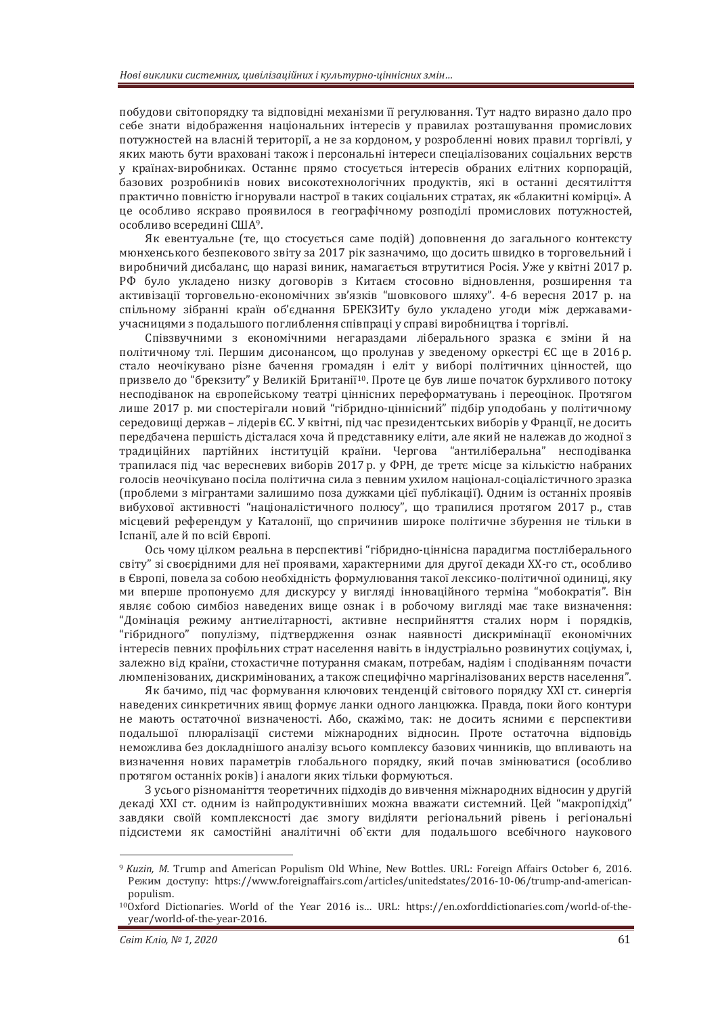побудови світопорядку та відповідні механізми її регулювання. Тут надто виразно дало про себе знати відображення національних інтересів у правилах розташування промислових потужностей на власній території, а не за кордоном, у розробленні нових правил торгівлі, у яких мають бути враховані також і персональні інтереси спеціалізованих соціальних верств у країнах-виробниках. Останнє прямо стосується інтересів обраних елітних корпорацій, базових розробників нових високотехнологічних продуктів, які в останні десятиліття практично повністю ігнорували настрої в таких соціальних стратах, як «блакитні комірці». А це особливо яскраво проявилося в географічному розподілі промислових потужностей, особливо всередині США<sup>9</sup>.

Як евентуальне (те, що стосується саме подій) доповнення до загального контексту мюнхенського безпекового звіту за 2017 рік зазначимо, що досить швидко в торговельний і виробничий дисбаланс, що наразі виник, намагається втрутитися Росія. Уже у квітні 2017 р. РФ було укладено низку договорів з Китаєм стосовно відновлення, розширення та активізації торговельно-економічних зв'язків "шовкового шляху". 4-6 вересня 2017 р. на спільному зібранні країн об'єднання БРЕКЗИТу було укладено угоди між державамиучасницями з подальшого поглиблення співпраці у справі виробництва і торгівлі.

Співзвучними з економічними негараздами ліберального зразка є зміни й на політичному тлі. Першим дисонансом, що пролунав у зведеному оркестрі ЄС ще в 2016 р. стало неочікувано різне бачення громадян і еліт у виборі політичних цінностей, що призвело до "брекзиту" у Великій Британії<sup>10</sup>. Проте це був лише початок бурхливого потоку несподіванок на європейському театрі ціннісних переформатувань і переоцінок. Протягом лише 2017 р. ми спостерігали новий "гібридно-ціннісний" підбір уподобань у політичному середовищі держав – лідерів ЄС. У квітні, під час президентських виборів у Франції, не досить передбачена першість дісталася хоча й представнику еліти, але який не належав до жодної з традиційних партійних інституцій країни. Чергова "антиліберальна" несподіванка трапилася під час вересневих виборів 2017 р. у ФРН, де третє місце за кількістю набраних голосів неочікувано посіла політична сила з певним ухилом націонал-соціалістичного зразка (проблеми з мігрантами залишимо поза дужками цієї публікації). Одним із останніх проявів вибухової активності "націоналістичного полюсу", що трапилися протягом 2017 р., став місцевий референдум у Каталонії, що спричинив широке політичне збурення не тільки в Іспанії, але й по всій Європі.

Ось чому цілком реальна в перспективі "гібридно-ціннісна парадигма постліберального світу" зі своєрідними для неї проявами, характерними для другої декади XX-го ст., особливо в Європі, повела за собою необхідність формулювання такої лексико-політичної одиниці, яку ми вперше пропонуємо для дискурсу у вигляді інноваційного терміна "мобократія". Він являє собою симбіоз наведених вище ознак і в робочому вигляді має таке визначення: "Домінація режиму антиелітарності, активне несприйняття сталих норм і порядків, "гібридного" популізму, підтвердження ознак наявності дискримінації економічних інтересів певних профільних страт населення навіть в індустріально розвинутих соціумах, і, залежно від країни, стохастичне потурання смакам, потребам, надіям і сподіванням почасти люмпенізованих, дискримінованих, а також специфічно маргіналізованих верств населення".

Як бачимо, під час формування ключових тенденцій світового порядку XXI ст. синергія наведених синкретичних явищ формує ланки одного ланцюжка. Правда, поки його контури не мають остаточної визначеності. Або, скажімо, так: не досить ясними є перспективи подальшої плюралізації системи міжнародних відносин. Проте остаточна відповідь неможлива без докладнішого аналізу всього комплексу базових чинників, що впливають на визначення нових параметрів глобального порядку, який почав змінюватися (особливо протягом останніх років) і аналоги яких тільки формуються.

З усього різноманіття теоретичних підходів до вивчення міжнародних відносин у другій декаді XXI ст. одним із найпродуктивніших можна вважати системний. Цей "макропідхід" завдяки своїй комплексності дає змогу виділяти регіональний рівень і регіональні підсистеми як самостійні аналітичні об'єкти для подальшого всебічного наукового

<sup>&</sup>lt;sup>9</sup> Kuzin, M. Trump and American Populism Old Whine, New Bottles. URL: Foreign Affairs October 6, 2016. Режим доступу: https://www.foreignaffairs.com/articles/unitedstates/2016-10-06/trump-and-americanpopulism.

<sup>10</sup>Oxford Dictionaries. World of the Year 2016 is… URL: https://en.oxforddictionaries.com/world-of-theyear/world-of-the-year-2016.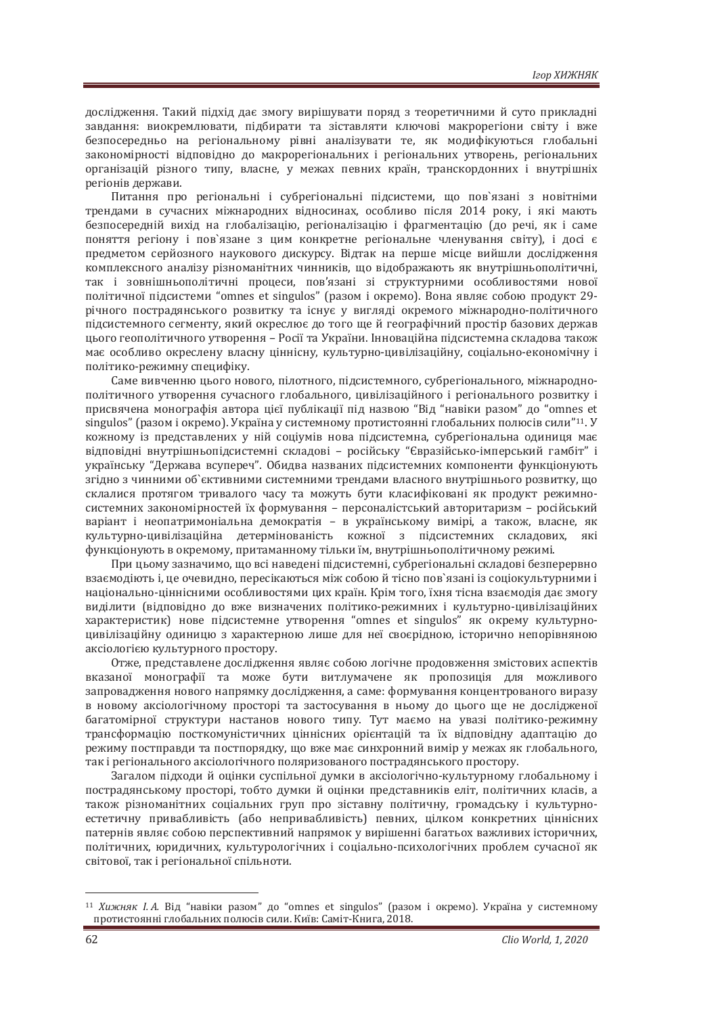дослідження. Такий підхід дає змогу вирішувати поряд з теоретичними й суто прикладні завдання: виокремлювати, підбирати та зіставляти ключові макрорегіони світу і вже безпосередньо на регіональному рівні аналізувати те, як модифікуються глобальні закономірності відповідно до макрорегіональних і регіональних утворень, регіональних організацій різного типу, власне, у межах певних країн, транскордонних і внутрішніх регіонів держави.

Питання про регіональні і субрегіональні пілсистеми, що пов'язані з новітніми трендами в сучасних міжнародних відносинах, особливо після 2014 року, і які мають безпосередній вихід на глобалізацію, регіоналізацію і фрагментацію (до речі, як і саме поняття регіону і пов'язане з цим конкретне регіональне членування світу), і досі є предметом серйозного наукового дискурсу. Відтак на перше місце вийшли дослідження комплексного аналізу різноманітних чинників, що відображають як внутрішньополітичні, так і зовнішньополітичні процеси, пов'язані зі структурними особливостями нової політичної підсистеми "omnes et singulos" (разом і окремо). Вона являє собою продукт 29річного пострадянського розвитку та існує у вигляді окремого міжнародно-політичного підсистемного сегменту, який окреслює до того ще й географічний простір базових держав ˙˟ˑˆˑˆˈˑ˒ˑˎ˪˕ˋ˚ːˑˆˑ˖˕˅ˑ˓ˈːːˢ– ʟˑ˔˪˫˕˃ʢˍ˓˃˫ːˋǤʶːːˑ˅˃˙˪ˌː˃˒˪ˇ˔ˋ˔˕ˈˏː˃˔ˍˎ˃ˇˑ˅˃˕˃ˍˑˉ має особливо окреслену власну ціннісну, культурно-цивілізаційну, соціально-економічну і політико-режимну специфіку.

Саме вивченню цього нового, пілотного, підсистемного, субрегіонального, міжнароднополітичного утворення сучасного глобального, цивілізаційного і регіонального розвитку і присвячена монографія автора цієї публікації під назвою "Від "навіки разом" до "omnes et singulos" (разом і окремо). Україна у системному протистоянні глобальних полюсів сили"<sup>11</sup>. У кожному із представлених у ній соціумів нова підсистемна, субрегіональна одиниця має відповідні внутрішньопідсистемні складові - російську "Євразійсько-імперський гамбіт" і українську "Держава всупереч". Обидва названих підсистемних компоненти функціонують згідно з чинними об`єктивними системними трендами власного внутрішнього розвитку, що склалися протягом тривалого часу та можуть бути класифіковані як продукт режимносистемних закономірностей їх формування - персоналістський авторитаризм - російський варіант і неопатримоніальна демократія - в українському вимірі, а також, власне, як культурно-цивілізаційна детермінованість кожної з підсистемних складових, які функціонують в окремому, притаманному тільки їм, внутрішньополітичному режимі.

При цьому зазначимо, що всі наведені підсистемні, субрегіональні складові безперервно взаємодіють і, це очевидно, пересікаються між собою й тісно пов'язані із соціокультурними і національно-ціннісними особливостями цих країн. Крім того, їхня тісна взаємодія дає змогу виділити (відповідно до вже визначених політико-режимних і культурно-цивілізаційних характеристик) нове підсистемне утворення "omnes et singulos" як окрему культурноцивілізаційну одиницю з характерною лише для неї своєрідною, історично непорівняною аксіологією культурного простору.

Отже, представлене дослідження являє собою логічне продовження змістових аспектів вказаної монографії та може бути витлумачене як пропозиція для можливого запровадження нового напрямку дослідження, а саме: формування концентрованого виразу в новому аксіологічному просторі та застосування в ньому до цього ще не дослідженої багатомірної структури настанов нового типу. Тут маємо на увазі політико-режимну трансформацію посткомуністичних ціннісних орієнтацій та їх відповідну адаптацію до режиму постправли та постпорялку, що вже має синхронний вимір у межах як глобального. так і регіонального аксіологічного поляризованого постралянського простору.

Загалом підходи й оцінки суспільної думки в аксіологічно-культурному глобальному і пострадянському просторі, тобто думки й оцінки представників еліт, політичних класів, а також різноманітних соціальних груп про зіставну політичну, громадську і культурноестетичну привабливість (або непривабливість) певних, цілком конкретних ціннісних патернів являє собою перспективний напрямок у вирішенні багатьох важливих історичних, політичних, юридичних, культурологічних і соціально-психологічних проблем сучасної як світової, так і регіональної спільноти.

<sup>&</sup>lt;sup>11</sup> Хижняк *I.A.* Від "навіки разом" до "omnes et singulos" (разом і окремо). Україна у системному протистоянні глобальних полюсів сили. Київ: Саміт-Книга, 2018.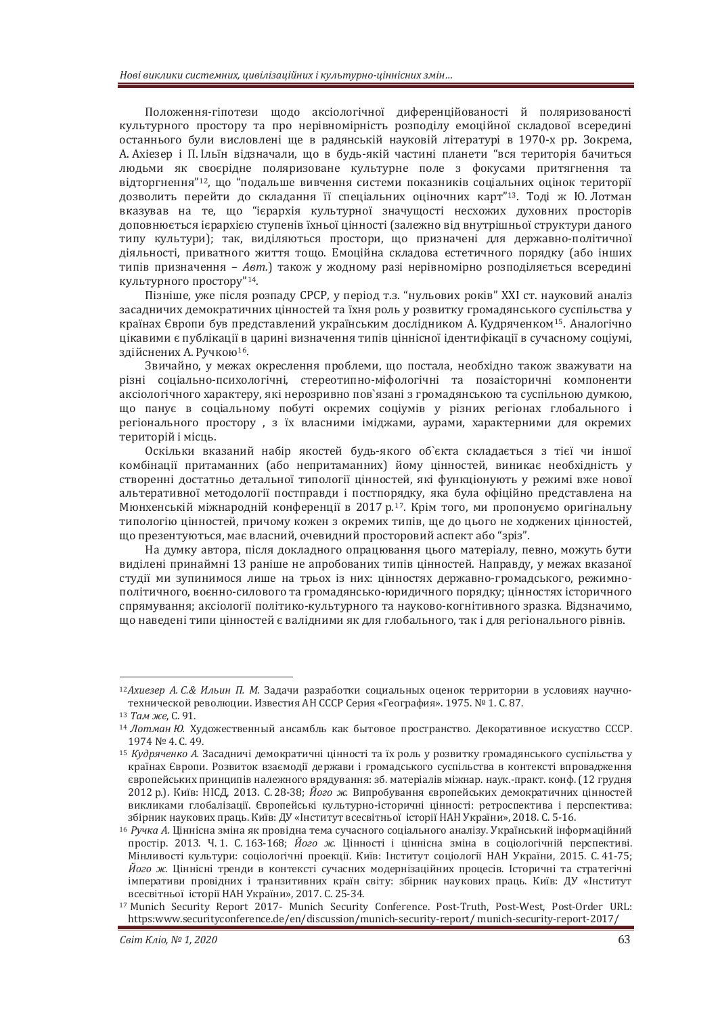Положення-гіпотези шоло аксіологічної лиференційованості й поляризованості культурного простору та про нерівномірність розподілу емоційної складової всередині останнього були висловлені ще в радянській науковій літературі в 1970-х рр. Зокрема, А. Ахіезер і П. Ільїн відзначали, що в будь-якій частині планети "вся територія бачиться людьми як своєрідне поляризоване культурне поле з фокусами притягнення та відторгнення"<sup>12</sup>, що "полальше вивчення системи показників соціальних оцінок території дозволить перейти до складання її спеціальних оціночних карт"<sup>13</sup>. Тоді ж Ю.Лотман вказував на те, що "ієрархія культурної значущості несхожих духовних просторів доповнюється ієрархією ступенів їхньої цінності (залежно від внутрішньої структури даного типу культури); так, виділяються простори, що призначені для державно-політичної діяльності, приватного життя тощо. Емоційна складова естетичного порядку (або інших типів призначення – *Aвт*.) також у жодному разі нерівномірно розподіляється всередині КУЛЬТУРНОГО ПРОСТОРУ"<sup>14</sup>.

Пізніше, уже після розпаду СРСР, у період т.з. "нульових років" XXI ст. науковий аналіз засадничих демократичних цінностей та їхня роль у розвитку громадянського суспільства у країнах Європи був представлений українським дослідником А. Кудряченком<sup>15</sup>. Аналогічно цікавими є публікації в царині визначення типів ціннісної ідентифікації в сучасному соціумі, злійснених А. Ручкою<sup>16</sup>.

Звичайно, у межах окреслення проблеми, шо постала, необхілно також зважувати на різні соціально-психологічні, стереотипно-міфологічні та позаісторичні компоненти аксіологічного характеру, які нерозривно пов'язані з громадянською та суспільною думкою, що панує в соціальному побуті окремих соціумів у різних регіонах глобального і регіонального простору, з їх власними іміджами, аурами, характерними для окремих територій і місць.

Оскільки вказаний набір якостей будь-якого об`єкта складається з тієї чи іншої комбінації притаманних (або непритаманних) йому цінностей, виникає необхідність у створенні достатньо детальної типології цінностей, які функціонують у режимі вже нової альтеративної методології постправди і постпорядку, яка була офіційно представлена на Мюнхенській міжнародній конференції в 2017 р.<sup>17</sup>. Крім того, ми пропонуємо оригінальну типологію цінностей, причому кожен з окремих типів, ще до цього не ходжених цінностей, що презентуються, має власний, очевидний просторовий аспект або "зріз".

На думку автора, після докладного опрацювання цього матеріалу, певно, можуть бути вилілені принаймні 13 раніше не апробованих типів цінностей. Направду, у межах вказаної студії ми зупинимося лише на трьох із них: цінностях державно-громадського, режимнополітичного, воєнно-силового та громалянсько-юриличного порялку; цінностях історичного спрямування; аксіології політико-культурного та науково-когнітивного зразка. Відзначимо, що наведені типи цінностей є валідними як для глобального, так і для регіонального рівнів.

<sup>&</sup>lt;sup>12</sup>Ахиезер А. С. & Ильин П. М. Задачи разработки социальных оценок территории в условиях научнотехнической революции. Известия АН СССР Серия «География». 1975. № 1. С. 87. <sup>13</sup> Там же, С. 91.

<sup>&</sup>lt;sup>14</sup> Лотман Ю. Художественный ансамбль как бытовое пространство. Декоративное искусство СССР.  $1974$  Νº 4, C, 49,

<sup>&</sup>lt;sup>15</sup> Кудряченко А. Засадничі демократичні цінності та їх роль у розвитку громадянського суспільства у країнах Європи. Розвиток взаємодії держави і громадського суспільства в контексті впровадження свропейських принципів належного врядування: зб. матеріалів міжнар. наук.-практ. конф. (12 грудня 2012 р.). Київ: НІСД, 2013. С. 28-38; Його ж. Випробування європейських демократичних цінностей викликами глобалізації. Європейські культурно-історичні цінності: ретроспектива і перспектива: збірник наукових праць. Київ: ДУ «Інститут всесвітньої історії НАН України», 2018. С. 5-16.<br><sup>16</sup> *Ручка А*. Ціннісна зміна як провідна тема сучасного соціального аналізу. Український інформаційний

простір. 2013. Ч.1. С. 163-168; *Його ж.* Цінності і ціннісна зміна в соціологічній перспективі. Мінливості культури: соціологічні проекції. Київ: Інститут соціології НАН України, 2015. С. 41-75; Його ж. Ціннісні тренди в контексті сучасних модернізаційних процесів. Історичні та стратегічні імперативи провідних і транзитивних країн світу: збірник наукових праць. Київ: ДУ «Інститут всесвітньої історії НАН України», 2017. С. 25-34.

<sup>17</sup> Munich Security Report 2017- Munich Security Conference. Post-Truth, Post-West, Post-Order URL: https:www.securityconference.de/en/discussion/munich-security-report/ munich-security-report-2017/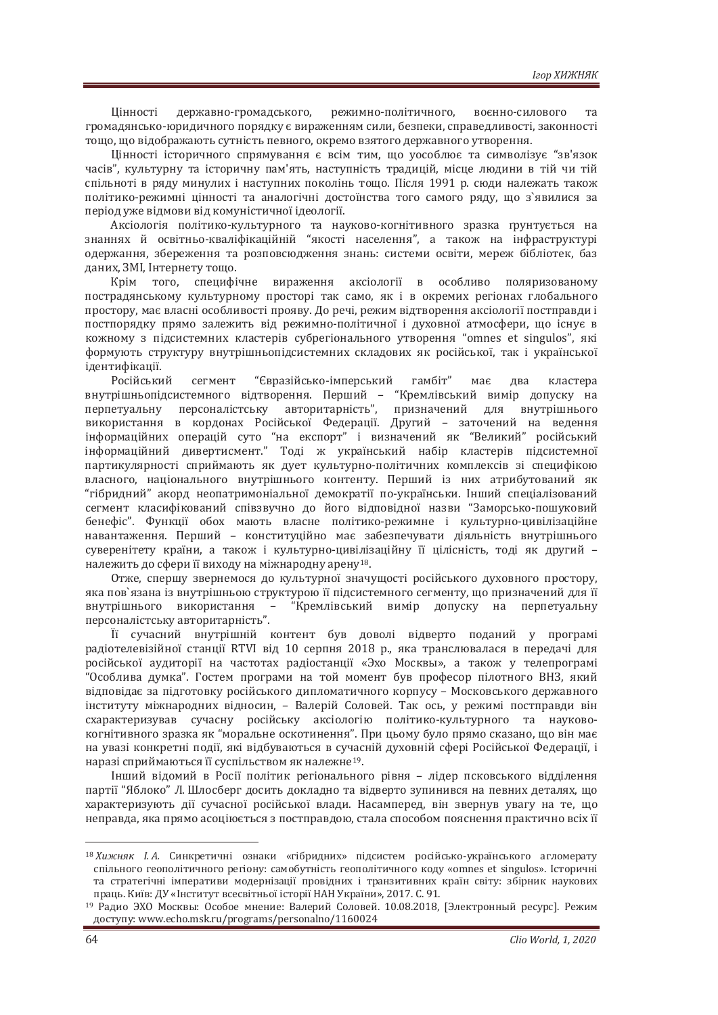Цінності державно-громадського, режимно-політичного, воєнно-силового та громадянсько-юридичного порядку є вираженням сили, безпеки, справедливості, законності тощо, що відображають сутність певного, окремо взятого державного утворення.

Шінності історичного спрямування є всім тим. що уособлює та символізує "зв'язок часів", культурну та історичну пам'ять, наступність традицій, місце людини в тій чи тій спільноті в ряду минулих і наступних поколінь тошо. Після 1991 р. сюди належать також політико-режимні цінності та аналогічні достоїнства того самого ряду, що з'явилися за період уже відмови від комуністичної ідеології.

Аксіологія політико-культурного та науково-когнітивного зразка ґрунтується на знаннях й освітньо-кваліфікаційній "якості населення", а також на інфраструктурі одержання, збереження та розповсюдження знань: системи освіти, мереж бібліотек, баз даних. ЗМІ. Інтернету тошо.

Крім того, специфічне вираження аксіології в особливо поляризованому пострадянському культурному просторі так само, як і в окремих регіонах глобального простору, має власні особливості прояву. До речі, режим відтворення аксіології постправди і постпорядку прямо залежить від режимно-політичної і духовної атмосфери, що існує в кожному з пілсистемних кластерів субрегіонального утворення "omnes et singulos", які формують структуру внутрішньопідсистемних складових як російської, так і української ідентифікації.

Російський сегмент "Євразійсько-імперський гамбіт" має два кластера внутрішньопідсистемного відтворення. Перший - "Кремлівський вимір допуску на перпетуальну персоналістську авторитарність", призначений для внутрішнього використання в кордонах Російської Федерації. Другий - заточений на ведення інформаційних операцій суто "на експорт" і визначений як "Великий" російський інформаційний дивертисмент." Тоді ж український набір кластерів підсистемної партикулярності сприймають як дует культурно-політичних комплексів зі специфікою власного, національного внутрішнього контенту. Перший із них атрибутований як "гібридний" акорд неопатримоніальної демократії по-українськи. Інший спеціалізований сегмент класифікований співзвучно до його відповідної назви "Заморсько-пошуковий бенефіс". Функції обох мають власне політико-режимне і культурно-цивілізаційне навантаження. Перший - конституційно має забезпечувати діяльність внутрішнього суверенітету країни, а також і культурно-цивілізаційну її цілісність, тоді як другий належить до сфери її виходу на міжнародну арену<sup>18</sup>.

Отже, спершу звернемося до культурної значущості російського духовного простору, яка пов`язана із внутрішньою структурою її підсистемного сегменту, що призначений для її внутрішнього використання – "Кремлівський вимір допуску на перпетуальну персоналістську авторитарність".

Її сучасний внутрішній контент був доволі відверто поданий у програмі радіотелевізійної станції RTVI від 10 серпня 2018 р., яка транслювалася в передачі для російської аудиторії на частотах радіостанції «Эхо Москвы», а також у телепрограмі "Особлива думка". Гостем програми на той момент був професор пілотного ВНЗ, який відповідає за підготовку російського дипломатичного корпусу - Московського державного інституту міжнародних відносин, - Валерій Соловей. Так ось, у режимі постправди він схарактеризував сучасну російську аксіологію політико-культурного та науковокогнітивного зразка як "моральне оскотинення". При цьому було прямо сказано, що він має на увазі конкретні полії, які вілбуваються в сучасній луховній сфері Російської Фелерапії, і наразі сприймаються її суспільством як належне<sup>19</sup>.

Інший відомий в Росії політик регіонального рівня - лідер псковського відділення партії "Яблоко" Л. Шлосберг досить докладно та відверто зупинився на певних деталях, що характеризують дії сучасної російської влади. Насамперед, він звернув увагу на те, що неправда, яка прямо асоціюється з постправдою, стала способом пояснення практично всіх її

<sup>&</sup>lt;sup>18</sup> Хижняк *I.A.* Синкретичні ознаки «гібридних» підсистем російсько-українського агломерату спільного геополітичного регіону: самобутність геополітичного коду «omnes et singulos». Історичні та стратегічні імперативи модернізації провідних і транзитивних країн світу: збірник наукових<br>праць Київ: ДУ «Інститут всесвітньої історії НАН України», 2017. С. 91.

<sup>&</sup>lt;sup>19</sup> Радио ЭХО Москвы: Особое мнение: Валерий Соловей. 10.08.2018, [Электронный ресурс]. Режим  $\mu$ ο cryny: www.echo.msk.ru/programs/personalno/1160024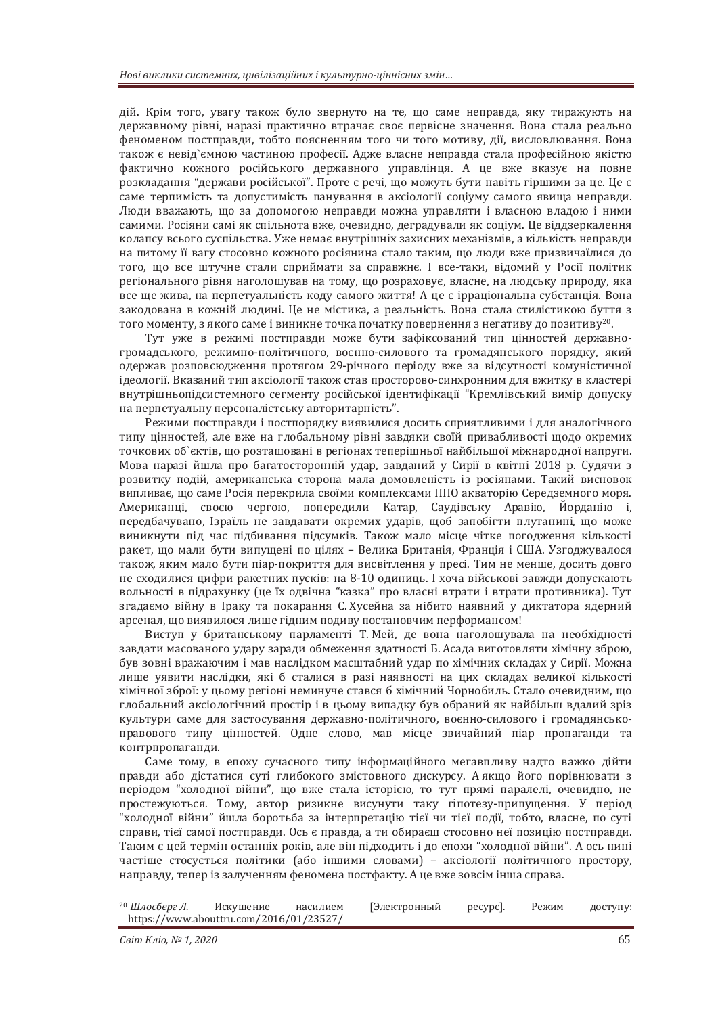дій. Крім того, увагу також було звернуто на те, що саме неправда, яку тиражують на державному рівні, наразі практично втрачає своє первісне значення. Вона стала реально феноменом постправди, тобто поясненням того чи того мотиву, дії, висловлювання. Вона також є невід'ємною частиною професії. Адже власне неправда стала професійною якістю фактично кожного російського державного управлінця. А це вже вказує на повне ъозкладання "держави російської". Проте є речі, що можуть бути навіть гіршими за це. Це є саме терпимість та допустимість панування в аксіології соціуму самого явища неправди. Люди вважають, що за допомогою неправди можна управляти і власною владою і ними самими. Росіяни самі як спільнота вже, очевидно, деградували як соціум. Це віддзеркалення колапсу всього суспільства. Уже немає внутрішніх захисних механізмів, а кількість неправди на питому її вагу стосовно кожного росіянина стало таким, що люди вже призвичаїлися до того, що все штучне стали сприймати за справжнє. І все-таки, відомий у Росії політик регіонального рівня наголошував на тому, що розраховує, власне, на людську природу, яка все ще жива, на перпетуальність коду самого життя! А це є ірраціональна субстанція. Вона закодована в кожній людині. Це не містика, а реальність. Вона стала стилістикою буття з того моменту, з якого саме і виникне точка початку повернення з негативу до позитиву<sup>20</sup>.

Тут уже в режимі постправди може бути зафіксований тип цінностей державногромадського, режимно-політичного, воєнно-силового та громадянського порядку, який одержав розповсюдження протягом 29-річного періоду вже за відсутності комуністичної ідеології. Вказаний тип аксіології також став просторово-синхронним для вжитку в кластері внутрішньопідсистемного сегменту російської ідентифікації "Кремлівський вимір допуску на перпетуальну персоналістську авторитарність".

Режими постправди і постпорядку виявилися досить сприятливими і для аналогічного типу цінностей, але вже на глобальному рівні завдяки своїй привабливості щодо окремих точкових об`єктів, що розташовані в регіонах теперішньої найбільшої міжнародної напруги. Мова наразі йшла про багатосторонній удар, завданий у Сирії в квітні 2018 р. Судячи з розвитку подій, американська сторона мала домовленість із росіянами. Такий висновок випливає, що саме Росія перекрила своїми комплексами ППО акваторію Середземного моря. Американці, своєю чергою, попередили Катар, Саудівську Аравію, Йорданію і, передбачувано, Ізраїль не завдавати окремих ударів, щоб запобігти плутанині, що може виникнути під час підбивання підсумків. Також мало місце чітке погодження кількості ракет, що мали бути випущені по цілях – Велика Британія, Франція і США. Узгоджувалося також, яким мало бути піар-покриття для висвітлення у пресі. Тим не менше, досить довго не сходилися цифри ракетних пусків: на 8-10 одиниць. І хоча військові завжди допускають вольності в підрахунку (це їх одвічна "казка" про власні втрати і втрати противника). Тут згадаємо війну в Іраку та покарання С. Хусейна за нібито наявний у диктатора ядерний арсенал, що виявилося лише гідним подиву постановчим перформансом!

Виступ у британському парламенті Т. Мей, де вона наголошувала на необхідності завдати масованого удару заради обмеження здатності Б. Асада виготовляти хімічну зброю, був зовні вражаючим і мав наслідком масштабний удар по хімічних складах у Сирії. Можна лише уявити наслідки, які б сталися в разі наявності на цих складах великої кількості хімічної зброї: у цьому регіоні неминуче стався б хімічний Чорнобиль. Стало очевидним, що глобальний аксіологічний простір і в цьому випадку був обраний як найбільш вдалий зріз культури саме для застосування державно-політичного, воєнно-силового і громадянськоправового типу цінностей. Одне слово, мав місце звичайний піар пропаганди та контрпропаганди.

Саме тому, в епоху сучасного типу інформаційного мегавпливу надто важко дійти правди або дістатися суті глибокого змістовного дискурсу. Аякщо його порівнювати з періодом "холодної війни", що вже стала історією, то тут прямі паралелі, очевидно, не простежуються. Тому, автор ризикне висунути таку гіпотезу-припущення. У період "холодної війни" йшла боротьба за інтерпретацію тієї чи тієї події, тобто, власне, по суті справи, тієї самої постправди. Ось є правда, а ти обираєш стосовно неї позицію постправди. Таким є цей термін останніх років, але він підходить і до епохи "холодної війни". А ось нині частіше стосується політики (або іншими словами) - аксіології політичного простору, направду, тепер із залученням феномена постфакту. А це вже зовсім інша справа.

| 20 Шлосберг Л.                          | Искушение | насилием | [Электронный | pecypc]. | Режим | доступу: |
|-----------------------------------------|-----------|----------|--------------|----------|-------|----------|
| https://www.abouttru.com/2016/01/23527/ |           |          |              |          |       |          |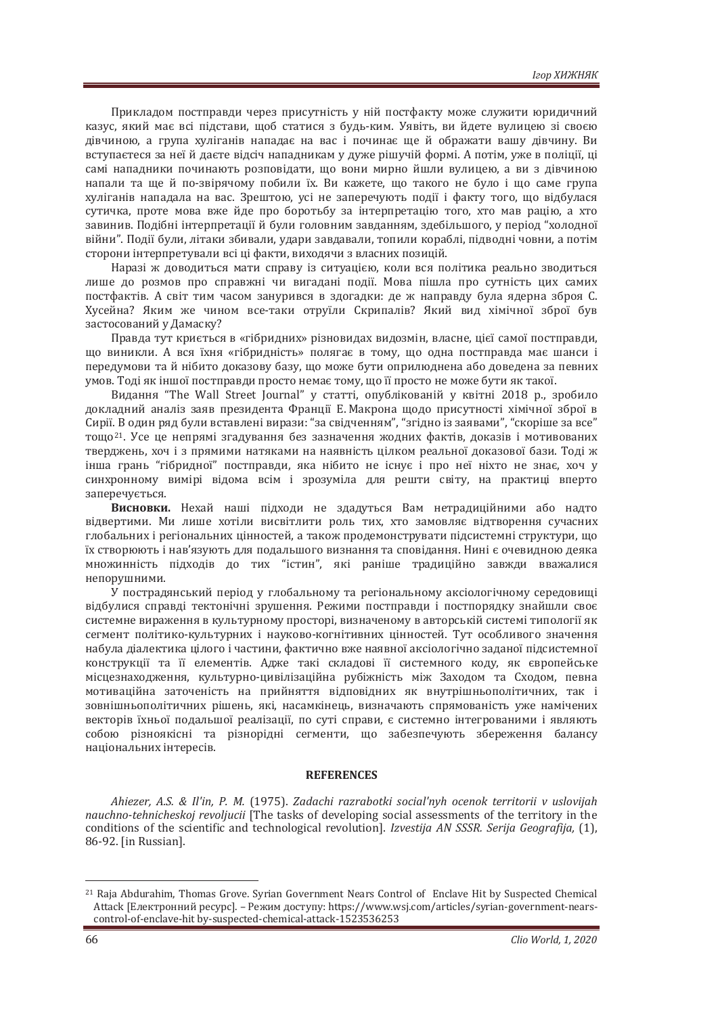Прикладом постправди через присутність у ній постфакту може служити юридичний казус, який має всі підстави, щоб статися з будь-ким. Уявіть, ви йдете вулицею зі своєю дівчиною, а група хуліганів нападає на вас і починає ще й ображати вашу дівчину. Ви вступаєтеся за неї й даєте відсіч нападникам у дуже рішучій формі. А потім, уже в поліції, ці самі нападники починають розповідати, що вони мирно йшли вулицею, а ви з дівчиною напали та ше й по-звірячому побили їх. Ви кажете, що такого не було і що саме група хуліганів нападала на вас. Зрештою, усі не заперечують події і факту того, що відбулася сутичка, проте мова вже йде про боротьбу за інтерпретацію того, хто мав рацію, а хто завинив. Подібні інтерпретації й були головним завданням, здебільшого, у період "холодної війни". Події були, літаки збивали, удари завдавали, топили кораблі, підводні човни, а потім сторони інтерпретували всі ці факти, виходячи з власних позицій.

Наразі ж доводиться мати справу із ситуацією, коли вся політика реально зводиться лише до розмов про справжні чи вигадані події. Мова пішла про сутність цих самих постфактів. А світ тим часом занурився в здогадки: де ж направду була ядерна зброя С. Хусейна? Яким же чином все-таки отруїли Скрипалів? Який вид хімічної зброї був застосований у Дамаску?

Правла тут криється в «гібрилних» різновилах вилозмін, власне, цієї самої постправли, що виникли. А вся їхня «гібридність» полягає в тому, що одна постправда має шанси і передумови та й нібито доказову базу, що може бути оприлюднена або доведена за певних умов. Тоді як іншої постправди просто немає тому, що її просто не може бути як такої.

Видання "The Wall Street Journal" у статті, опублікованій у квітні 2018 р., зробило докладний аналіз заяв президента Франції Е. Макрона щодо присутності хімічної зброї в Сирії. В один ряд були вставлені вирази: "за свідченням". "згідно із заявами", "скоріше за все" тощо<sup>21</sup>. Усе це непрямі згадування без зазначення жодних фактів, доказів і мотивованих тверджень, хоч і з прямими натяками на наявність цілком реальної доказової бази. Тоді ж інша грань "гібридної" постправди, яка нібито не існує і про неї ніхто не знає, хоч у синхронному вимірі відома всім і зрозуміла для решти світу, на практиці вперто заперечується.

Висновки. Нехай наші підходи не здадуться Вам нетрадиційними або надто відвертими. Ми лише хотіли висвітлити роль тих, хто замовляє відтворення сучасних глобальних і регіональних цінностей, а також продемонструвати підсистемні структури, що їх створюють і нав'язують для подальшого визнання та сповідання. Нині є очевидною деяка множинність підходів до тих "істин", які раніше традиційно завжди вважалися непорушними.

У пострадянський період у глобальному та регіональному аксіологічному середовищі вілбулися справлі тектонічні зрушення. Режими постправли і постпорялку знайшли своє системне вираження в культурному просторі, визначеному в авторській системі типології як сегмент політико-культурних і науково-когнітивних цінностей. Тут особливого значення набула діалектика цілого і частини, фактично вже наявної аксіологічно заданої підсистемної конструкції та її елементів. Адже такі складові її системного коду, як європейське місцезнаходження, культурно-цивілізаційна рубіжність між Заходом та Сходом, певна мотиваційна заточеність на прийняття відповідних як внутрішньополітичних, так і зовнішньополітичних рішень, які, насамкінець, визначають спрямованість уже намічених векторів їхньої подальшої реалізації, по суті справи, є системно інтегрованими і являють собою різноякісні та різнорідні сегменти, що забезпечують збереження балансу національних інтересів.

#### **REFERENCES**

*Ahiezer, A.S. & Il'in, P. M.* (1975). Zadachi razrabotki social'nyh ocenok territorii v uslovijah *nauchno-tehnicheskoj revoljucii* [The tasks of developing social assessments of the territory in the conditions of the scientific and technological revolution]. *Izvestija AN SSSR. Serija Geografija*, (1), 86-92. [in Russian].

<sup>21</sup> Raja Abdurahim, Thomas Grove. Syrian Government Nears Control of Enclave Hit by Suspected Chemical Attack [Електронний ресурс]. – Режим доступу: https://www.wsj.com/articles/syrian-government-nearscontrol-of-enclave-hit by-suspected-chemical-attack-1523536253